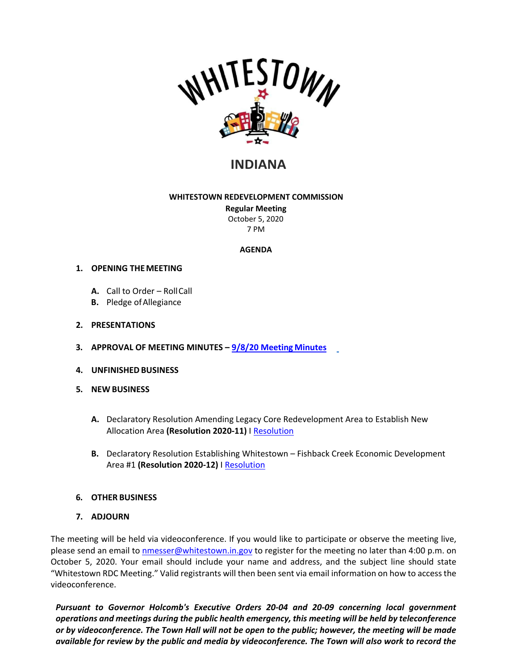

# **INDIANA**

#### **WHITESTOWN REDEVELOPMENT COMMISSION**

**Regular Meeting** October 5, 2020 7 PM

## **AGENDA**

## **1. OPENING THEMEETING**

- **A.** Call to Order RollCall
- **B.** Pledge ofAllegiance

## **2. PRESENTATIONS**

- **3. APPROVAL OF MEETING MINUTES – [9/8/20 Meeting](https://whitestown.in.gov/vertical/sites/%7BB8BE8AC3-9DE8-4247-BCB0-1173F48CC7C3%7D/uploads/RDC_Minutes_09-08-20.pdf) Minutes**
- **4. UNFINISHEDBUSINESS**
- **5. NEW BUSINESS**
	- **A.** Declaratory Resolution Amending Legacy Core Redevelopment Area to Establish New Allocation Area **(Resolution 2020-11)** [I Resolution](https://whitestown.in.gov/vertical/sites/%7BB8BE8AC3-9DE8-4247-BCB0-1173F48CC7C3%7D/uploads/RDC_Resolution_2020-11_(Declaratory_Resolution_Amending_Legacy_Core_Area_to_add_New_Allocation_Area).pdf)
	- **B.** Declaratory Resolution Establishing Whitestown Fishback Creek Economic Development Area #1 **(Resolution 2020-12)** I [Resolution](https://whitestown.in.gov/vertical/sites/%7BB8BE8AC3-9DE8-4247-BCB0-1173F48CC7C3%7D/uploads/RDC_Resolution_2020-12_(Declaratory_Resolution_Establishing_Fishback_Creek_TIF_Area).pdf)

## **6. OTHER BUSINESS**

**7. ADJOURN**

The meeting will be held via videoconference. If you would like to participate or observe the meeting live, please send an email to [nmesser@whitestown.in.gov](mailto:nmesser@whitestown.in.gov) to register for the meeting no later than 4:00 p.m. on October 5, 2020. Your email should include your name and address, and the subject line should state "Whitestown RDC Meeting." Valid registrants will then been sent via email information on how to access the videoconference.

*Pursuant to Governor Holcomb's Executive Orders 20-04 and 20-09 concerning local government operations and meetings during the public health emergency, this meeting will be held by teleconference or by videoconference. The Town Hall will not be open to the public; however, the meeting will be made available for review by the public and media by videoconference. The Town will also work to record the*